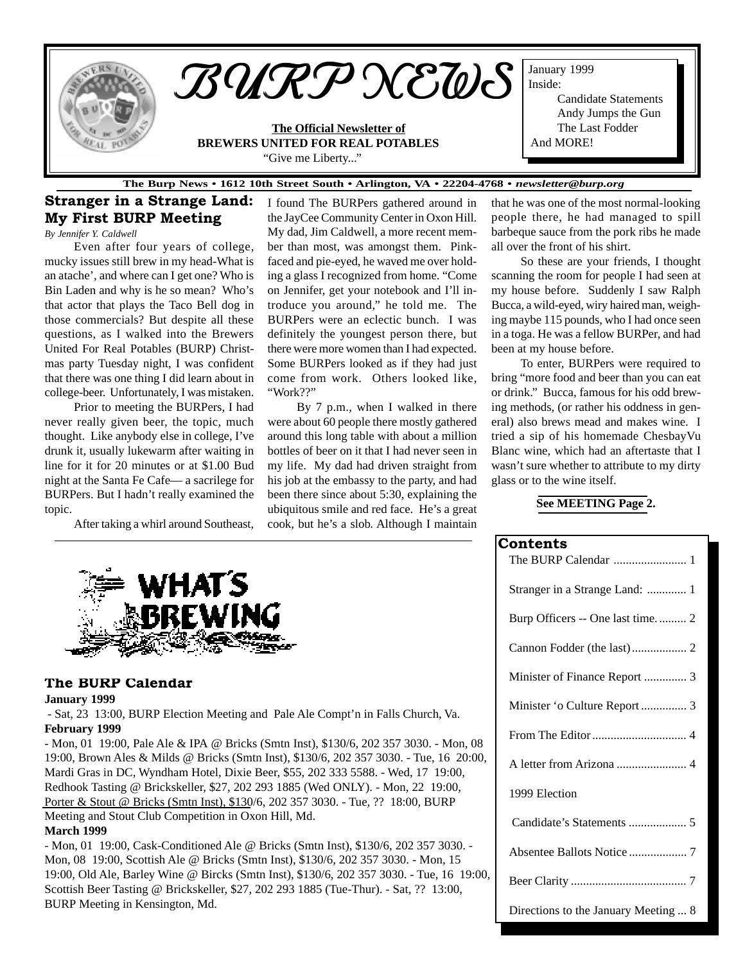

#### **The Burp News • 1612 10th Street South • Arlington, VA • 22204-4768 •** *newsletter@burp.org*

# Stranger in a Strange Land: My First BURP Meeting

*By Jennifer Y. Caldwell*

Even after four years of college, mucky issues still brew in my head-What is an atache', and where can I get one? Who is Bin Laden and why is he so mean? Who's that actor that plays the Taco Bell dog in those commercials? But despite all these questions, as I walked into the Brewers United For Real Potables (BURP) Christmas party Tuesday night, I was confident that there was one thing I did learn about in college-beer. Unfortunately, I was mistaken.

Prior to meeting the BURPers, I had never really given beer, the topic, much thought. Like anybody else in college, I've drunk it, usually lukewarm after waiting in line for it for 20 minutes or at \$1.00 Bud night at the Santa Fe Cafe— a sacrilege for BURPers. But I hadn't really examined the topic.

After taking a whirl around Southeast,

I found The BURPers gathered around in the JayCee Community Center in Oxon Hill. My dad, Jim Caldwell, a more recent member than most, was amongst them. Pinkfaced and pie-eyed, he waved me over holding a glass I recognized from home. "Come on Jennifer, get your notebook and I'll introduce you around," he told me. The BURPers were an eclectic bunch. I was definitely the youngest person there, but there were more women than I had expected. Some BURPers looked as if they had just come from work. Others looked like, "Work??"

By 7 p.m., when I walked in there were about 60 people there mostly gathered around this long table with about a million bottles of beer on it that I had never seen in my life. My dad had driven straight from his job at the embassy to the party, and had been there since about 5:30, explaining the ubiquitous smile and red face. He's a great cook, but he's a slob. Although I maintain that he was one of the most normal-looking people there, he had managed to spill barbeque sauce from the pork ribs he made all over the front of his shirt.

So these are your friends, I thought scanning the room for people I had seen at my house before. Suddenly I saw Ralph Bucca, a wild-eyed, wiry haired man, weighing maybe 115 pounds, who I had once seen in a toga. He was a fellow BURPer, and had been at my house before.

To enter, BURPers were required to bring "more food and beer than you can eat or drink." Bucca, famous for his odd brewing methods, (or rather his oddness in general) also brews mead and makes wine. I tried a sip of his homemade ChesbayVu Blanc wine, which had an aftertaste that I wasn't sure whether to attribute to my dirty glass or to the wine itself.

### **See MEETING Page 2.**

|  | <b>Contents</b> |  |  |  |  |  |  |  |
|--|-----------------|--|--|--|--|--|--|--|
|--|-----------------|--|--|--|--|--|--|--|

| The BURP Calendar  1                 |
|--------------------------------------|
| Stranger in a Strange Land:  1       |
|                                      |
|                                      |
|                                      |
|                                      |
|                                      |
|                                      |
| 1999 Election                        |
|                                      |
|                                      |
|                                      |
| Directions to the January Meeting  8 |



#### The BURP Calendar

#### **January 1999**

 - Sat, 23 13:00, BURP Election Meeting and Pale Ale Compt'n in Falls Church, Va. **February 1999**

- Mon, 01 19:00, Pale Ale & IPA @ Bricks (Smtn Inst), \$130/6, 202 357 3030. - Mon, 08 19:00, Brown Ales & Milds @ Bricks (Smtn Inst), \$130/6, 202 357 3030. - Tue, 16 20:00, Mardi Gras in DC, Wyndham Hotel, Dixie Beer, \$55, 202 333 5588. - Wed, 17 19:00, Redhook Tasting @ Brickskeller, \$27, 202 293 1885 (Wed ONLY). - Mon, 22 19:00, Porter & Stout @ Bricks (Smtn Inst), \$130/6, 202 357 3030. - Tue, ?? 18:00, BURP Meeting and Stout Club Competition in Oxon Hill, Md.

#### **March 1999**

- Mon, 01 19:00, Cask-Conditioned Ale @ Bricks (Smtn Inst), \$130/6, 202 357 3030. - Mon, 08 19:00, Scottish Ale @ Bricks (Smtn Inst), \$130/6, 202 357 3030. - Mon, 15 19:00, Old Ale, Barley Wine @ Bircks (Smtn Inst), \$130/6, 202 357 3030. - Tue, 16 19:00, Scottish Beer Tasting @ Brickskeller, \$27, 202 293 1885 (Tue-Thur). - Sat, ?? 13:00, BURP Meeting in Kensington, Md.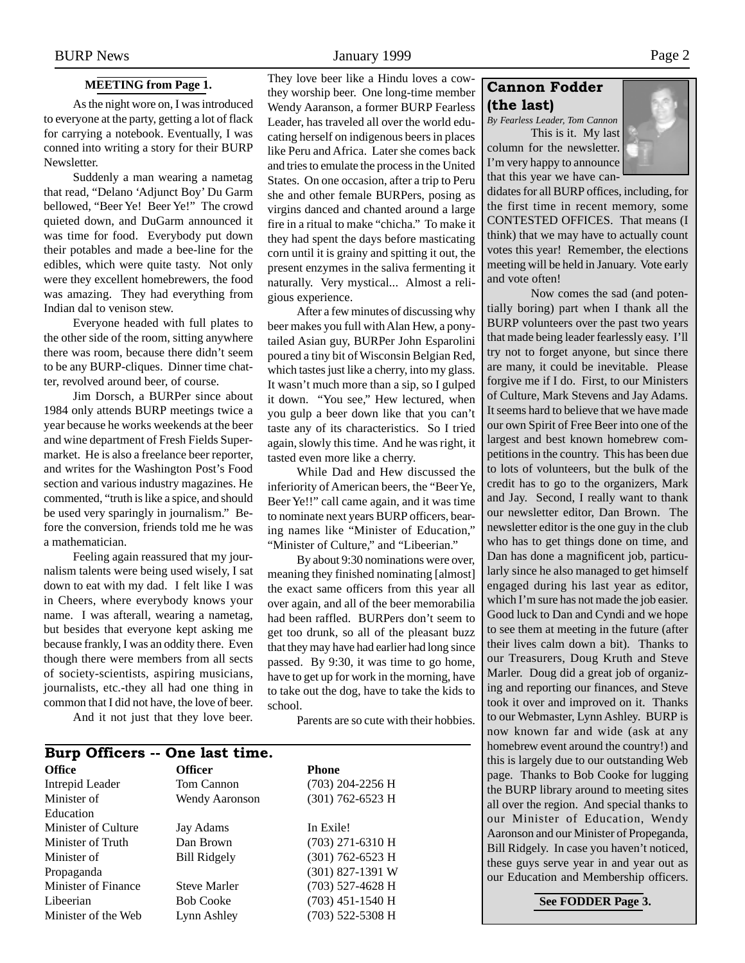## **MEETING from Page 1.**

<span id="page-1-0"></span>As the night wore on, I was introduced to everyone at the party, getting a lot of flack for carrying a notebook. Eventually, I was conned into writing a story for their BURP Newsletter.

Suddenly a man wearing a nametag that read, "Delano 'Adjunct Boy' Du Garm bellowed, "Beer Ye! Beer Ye!" The crowd quieted down, and DuGarm announced it was time for food. Everybody put down their potables and made a bee-line for the edibles, which were quite tasty. Not only were they excellent homebrewers, the food was amazing. They had everything from Indian dal to venison stew.

Everyone headed with full plates to the other side of the room, sitting anywhere there was room, because there didn't seem to be any BURP-cliques. Dinner time chatter, revolved around beer, of course.

Jim Dorsch, a BURPer since about 1984 only attends BURP meetings twice a year because he works weekends at the beer and wine department of Fresh Fields Supermarket. He is also a freelance beer reporter, and writes for the Washington Post's Food section and various industry magazines. He commented, "truth is like a spice, and should be used very sparingly in journalism." Before the conversion, friends told me he was a mathematician.

Feeling again reassured that my journalism talents were being used wisely, I sat down to eat with my dad. I felt like I was in Cheers, where everybody knows your name. I was afterall, wearing a nametag, but besides that everyone kept asking me because frankly, I was an oddity there. Even though there were members from all sects of society-scientists, aspiring musicians, journalists, etc.-they all had one thing in common that I did not have, the love of beer.

And it not just that they love beer.

They love beer like a Hindu loves a cowthey worship beer. One long-time member Wendy Aaranson, a former BURP Fearless Leader, has traveled all over the world educating herself on indigenous beers in places like Peru and Africa. Later she comes back and tries to emulate the process in the United States. On one occasion, after a trip to Peru she and other female BURPers, posing as virgins danced and chanted around a large fire in a ritual to make "chicha." To make it they had spent the days before masticating corn until it is grainy and spitting it out, the present enzymes in the saliva fermenting it naturally. Very mystical... Almost a religious experience.

After a few minutes of discussing why beer makes you full with Alan Hew, a ponytailed Asian guy, BURPer John Esparolini poured a tiny bit of Wisconsin Belgian Red, which tastes just like a cherry, into my glass. It wasn't much more than a sip, so I gulped it down. "You see," Hew lectured, when you gulp a beer down like that you can't taste any of its characteristics. So I tried again, slowly this time. And he was right, it tasted even more like a cherry.

While Dad and Hew discussed the inferiority of American beers, the "Beer Ye, Beer Ye!!" call came again, and it was time to nominate next years BURP officers, bearing names like "Minister of Education," "Minister of Culture," and "Libeerian."

By about 9:30 nominations were over, meaning they finished nominating [almost] the exact same officers from this year all over again, and all of the beer memorabilia had been raffled. BURPers don't seem to get too drunk, so all of the pleasant buzz that they may have had earlier had long since passed. By 9:30, it was time to go home, have to get up for work in the morning, have to take out the dog, have to take the kids to school.

Parents are so cute with their hobbies.

| Burp Officers -- One last time. |                     |                    |  |  |  |  |  |  |
|---------------------------------|---------------------|--------------------|--|--|--|--|--|--|
| <b>Office</b>                   | <b>Officer</b>      | <b>Phone</b>       |  |  |  |  |  |  |
| Intrepid Leader                 | Tom Cannon          | $(703)$ 204-2256 H |  |  |  |  |  |  |
| Minister of                     | Wendy Aaronson      | $(301)$ 762-6523 H |  |  |  |  |  |  |
| Education                       |                     |                    |  |  |  |  |  |  |
| Minister of Culture             | Jay Adams           | In Exile!          |  |  |  |  |  |  |
| Minister of Truth               | Dan Brown           | $(703)$ 271-6310 H |  |  |  |  |  |  |
| Minister of                     | <b>Bill Ridgely</b> | $(301)$ 762-6523 H |  |  |  |  |  |  |
| Propaganda                      |                     | $(301)$ 827-1391 W |  |  |  |  |  |  |
| Minister of Finance             | <b>Steve Marler</b> | (703) 527-4628 H   |  |  |  |  |  |  |
| Libeerian                       | <b>Bob Cooke</b>    | $(703)$ 451-1540 H |  |  |  |  |  |  |
| Minister of the Web             | Lynn Ashley         | (703) 522-5308 H   |  |  |  |  |  |  |

## Cannon Fodder (the last)

*By Fearless Leader, Tom Cannon* This is it. My last column for the newsletter. I'm very happy to announce



didates for all BURP offices, including, for the first time in recent memory, some CONTESTED OFFICES. That means (I think) that we may have to actually count votes this year! Remember, the elections meeting will be held in January. Vote early and vote often!

Now comes the sad (and potentially boring) part when I thank all the BURP volunteers over the past two years that made being leader fearlessly easy. I'll try not to forget anyone, but since there are many, it could be inevitable. Please forgive me if I do. First, to our Ministers of Culture, Mark Stevens and Jay Adams. It seems hard to believe that we have made our own Spirit of Free Beer into one of the largest and best known homebrew competitions in the country. This has been due to lots of volunteers, but the bulk of the credit has to go to the organizers, Mark and Jay. Second, I really want to thank our newsletter editor, Dan Brown. The newsletter editor is the one guy in the club who has to get things done on time, and Dan has done a magnificent job, particularly since he also managed to get himself engaged during his last year as editor, which I'm sure has not made the job easier. Good luck to Dan and Cyndi and we hope to see them at meeting in the future (after their lives calm down a bit). Thanks to our Treasurers, Doug Kruth and Steve Marler. Doug did a great job of organizing and reporting our finances, and Steve took it over and improved on it. Thanks to our Webmaster, Lynn Ashley. BURP is now known far and wide (ask at any homebrew event around the country!) and this is largely due to our outstanding Web page. Thanks to Bob Cooke for lugging the BURP library around to meeting sites all over the region. And special thanks to our Minister of Education, Wendy Aaronson and our Minister of Propeganda, Bill Ridgely. In case you haven't noticed, these guys serve year in and year out as our Education and Membership officers.

**See FODDER Page 3.**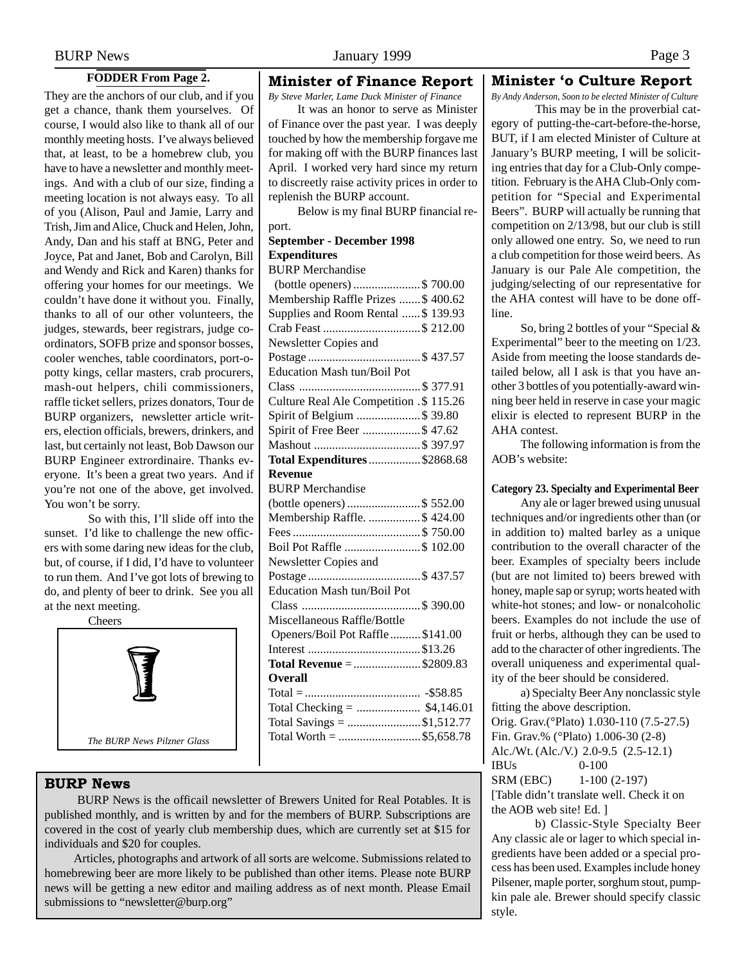### **FODDER From Page 2.**

<span id="page-2-0"></span>They are the anchors of our club, and if you get a chance, thank them yourselves. Of course, I would also like to thank all of our monthly meeting hosts. I've always believed that, at least, to be a homebrew club, you have to have a newsletter and monthly meetings. And with a club of our size, finding a meeting location is not always easy. To all of you (Alison, Paul and Jamie, Larry and Trish, Jim and Alice, Chuck and Helen, John, Andy, Dan and his staff at BNG, Peter and Joyce, Pat and Janet, Bob and Carolyn, Bill and Wendy and Rick and Karen) thanks for offering your homes for our meetings. We couldn't have done it without you. Finally, thanks to all of our other volunteers, the judges, stewards, beer registrars, judge coordinators, SOFB prize and sponsor bosses, cooler wenches, table coordinators, port-opotty kings, cellar masters, crab procurers, mash-out helpers, chili commissioners, raffle ticket sellers, prizes donators, Tour de BURP organizers, newsletter article writers, election officials, brewers, drinkers, and last, but certainly not least, Bob Dawson our BURP Engineer extrordinaire. Thanks everyone. It's been a great two years. And if you're not one of the above, get involved. You won't be sorry.

So with this, I'll slide off into the sunset. I'd like to challenge the new officers with some daring new ideas for the club, but, of course, if I did, I'd have to volunteer to run them. And I've got lots of brewing to do, and plenty of beer to drink. See you all at the next meeting.

**Cheers** 

*The BURP News Pilzner Glass*

### BURP News

 BURP News is the officail newsletter of Brewers United for Real Potables. It is published monthly, and is written by and for the members of BURP. Subscriptions are covered in the cost of yearly club membership dues, which are currently set at \$15 for individuals and \$20 for couples.

Articles, photographs and artwork of all sorts are welcome. Submissions related to homebrewing beer are more likely to be published than other items. Please note BURP news will be getting a new editor and mailing address as of next month. Please Email submissions to "newsletter@burp.org"

### Minister of Finance Report

*By Steve Marler, Lame Duck Minister of Finance*

It was an honor to serve as Minister of Finance over the past year. I was deeply touched by how the membership forgave me for making off with the BURP finances last April. I worked very hard since my return to discreetly raise activity prices in order to replenish the BURP account.

Below is my final BURP financial report.

## **September - December 1998 Expenditures**

BURP Merchandise

| (bottle openers) \$ 700.00              |
|-----------------------------------------|
| Membership Raffle Prizes  \$400.62      |
| Supplies and Room Rental  \$139.93      |
| Crab Feast \$ 212.00                    |
| Newsletter Copies and                   |
|                                         |
| <b>Education Mash tun/Boil Pot</b>      |
|                                         |
| Culture Real Ale Competition .\$ 115.26 |
| Spirit of Belgium \$ 39.80              |
| Spirit of Free Beer \$ 47.62            |
|                                         |
| <b>Total Expenditures  \$2868.68</b>    |
| <b>Revenue</b>                          |
| <b>BURP</b> Merchandise                 |
| (bottle openers) \$ 552.00              |
| Membership Raffle. \$ 424.00            |
|                                         |
| Boil Pot Raffle \$ 102.00               |
| Newsletter Copies and                   |
|                                         |
| <b>Education Mash tun/Boil Pot</b>      |
|                                         |
| Miscellaneous Raffle/Bottle             |
| Openers/Boil Pot Raffle  \$141.00       |
|                                         |
| Total Revenue = \$2809.83               |
| <b>Overall</b>                          |
|                                         |
| Total Checking =  \$4,146.01            |
| Total Savings = \$1,512.77              |
| Total Worth = \$5,658.78                |
|                                         |

### Minister 'o Culture Report

*By Andy Anderson, Soon to be elected Minister of Culture*

This may be in the proverbial category of putting-the-cart-before-the-horse, BUT, if I am elected Minister of Culture at January's BURP meeting, I will be soliciting entries that day for a Club-Only competition. February is the AHA Club-Only competition for "Special and Experimental Beers". BURP will actually be running that competition on 2/13/98, but our club is still only allowed one entry. So, we need to run a club competition for those weird beers. As January is our Pale Ale competition, the judging/selecting of our representative for the AHA contest will have to be done offline.

So, bring 2 bottles of your "Special & Experimental" beer to the meeting on 1/23. Aside from meeting the loose standards detailed below, all I ask is that you have another 3 bottles of you potentially-award winning beer held in reserve in case your magic elixir is elected to represent BURP in the AHA contest.

The following information is from the AOB's website:

### **Category 23. Specialty and Experimental Beer**

Any ale or lager brewed using unusual techniques and/or ingredients other than (or in addition to) malted barley as a unique contribution to the overall character of the beer. Examples of specialty beers include (but are not limited to) beers brewed with honey, maple sap or syrup; worts heated with white-hot stones; and low- or nonalcoholic beers. Examples do not include the use of fruit or herbs, although they can be used to add to the character of other ingredients. The overall uniqueness and experimental quality of the beer should be considered.

a) Specialty Beer Any nonclassic style fitting the above description. Orig. Grav.(°Plato) 1.030-110 (7.5-27.5) Fin. Grav.% (°Plato) 1.006-30 (2-8) Alc./Wt. (Alc./V.) 2.0-9.5 (2.5-12.1) IBUs 0-100 SRM (EBC) 1-100 (2-197) [Table didn't translate well. Check it on the AOB web site! Ed. ]

b) Classic-Style Specialty Beer Any classic ale or lager to which special ingredients have been added or a special process has been used. Examples include honey Pilsener, maple porter, sorghum stout, pumpkin pale ale. Brewer should specify classic style.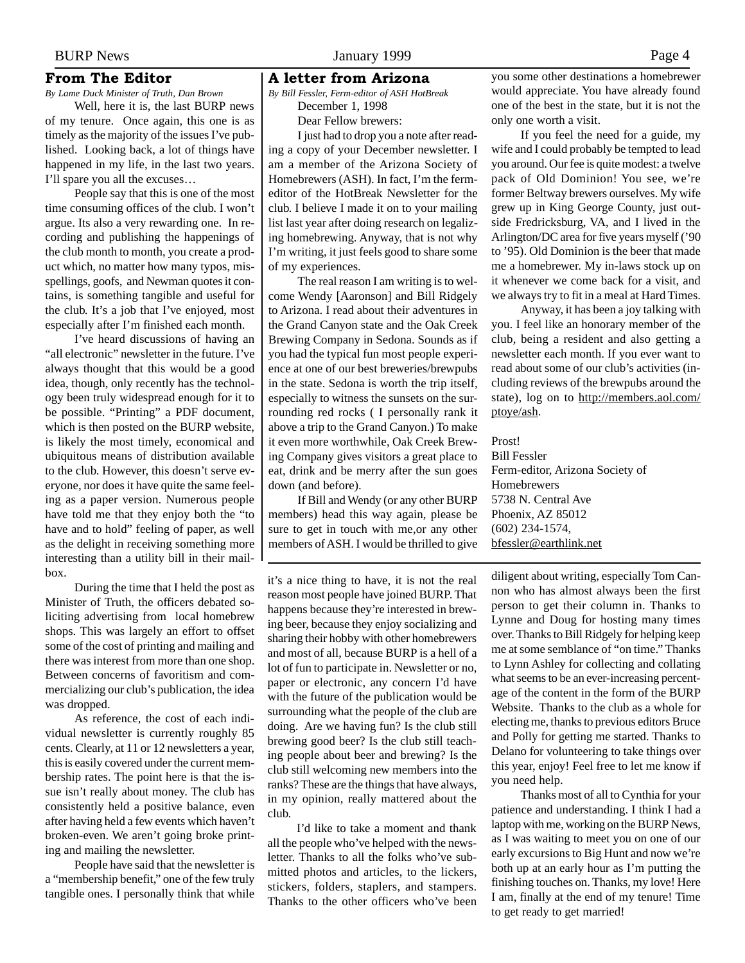### <span id="page-3-0"></span>From The Editor

*By Lame Duck Minister of Truth, Dan Brown* Well, here it is, the last BURP news of my tenure. Once again, this one is as timely as the majority of the issues I've published. Looking back, a lot of things have happened in my life, in the last two years. I'll spare you all the excuses…

People say that this is one of the most time consuming offices of the club. I won't argue. Its also a very rewarding one. In recording and publishing the happenings of the club month to month, you create a product which, no matter how many typos, misspellings, goofs, and Newman quotes it contains, is something tangible and useful for the club. It's a job that I've enjoyed, most especially after I'm finished each month.

I've heard discussions of having an "all electronic" newsletter in the future. I've always thought that this would be a good idea, though, only recently has the technology been truly widespread enough for it to be possible. "Printing" a PDF document, which is then posted on the BURP website, is likely the most timely, economical and ubiquitous means of distribution available to the club. However, this doesn't serve everyone, nor does it have quite the same feeling as a paper version. Numerous people have told me that they enjoy both the "to have and to hold" feeling of paper, as well as the delight in receiving something more interesting than a utility bill in their mailbox.

During the time that I held the post as Minister of Truth, the officers debated soliciting advertising from local homebrew shops. This was largely an effort to offset some of the cost of printing and mailing and there was interest from more than one shop. Between concerns of favoritism and commercializing our club's publication, the idea was dropped.

As reference, the cost of each individual newsletter is currently roughly 85 cents. Clearly, at 11 or 12 newsletters a year, this is easily covered under the current membership rates. The point here is that the issue isn't really about money. The club has consistently held a positive balance, even after having held a few events which haven't broken-even. We aren't going broke printing and mailing the newsletter.

People have said that the newsletter is a "membership benefit," one of the few truly tangible ones. I personally think that while

#### A letter from Arizona

*By Bill Fessler, Ferm-editor of ASH HotBreak* December 1, 1998 Dear Fellow brewers:

I just had to drop you a note after reading a copy of your December newsletter. I am a member of the Arizona Society of Homebrewers (ASH). In fact, I'm the fermeditor of the HotBreak Newsletter for the club. I believe I made it on to your mailing list last year after doing research on legalizing homebrewing. Anyway, that is not why I'm writing, it just feels good to share some of my experiences.

The real reason I am writing is to welcome Wendy [Aaronson] and Bill Ridgely to Arizona. I read about their adventures in the Grand Canyon state and the Oak Creek Brewing Company in Sedona. Sounds as if you had the typical fun most people experience at one of our best breweries/brewpubs in the state. Sedona is worth the trip itself, especially to witness the sunsets on the surrounding red rocks ( I personally rank it above a trip to the Grand Canyon.) To make it even more worthwhile, Oak Creek Brewing Company gives visitors a great place to eat, drink and be merry after the sun goes down (and before).

If Bill and Wendy (or any other BURP members) head this way again, please be sure to get in touch with me,or any other members of ASH. I would be thrilled to give

it's a nice thing to have, it is not the real reason most people have joined BURP. That happens because they're interested in brewing beer, because they enjoy socializing and sharing their hobby with other homebrewers and most of all, because BURP is a hell of a lot of fun to participate in. Newsletter or no, paper or electronic, any concern I'd have with the future of the publication would be surrounding what the people of the club are doing. Are we having fun? Is the club still brewing good beer? Is the club still teaching people about beer and brewing? Is the club still welcoming new members into the ranks? These are the things that have always, in my opinion, really mattered about the club.

I'd like to take a moment and thank all the people who've helped with the newsletter. Thanks to all the folks who've submitted photos and articles, to the lickers, stickers, folders, staplers, and stampers. Thanks to the other officers who've been

you some other destinations a homebrewer would appreciate. You have already found one of the best in the state, but it is not the only one worth a visit.

If you feel the need for a guide, my wife and I could probably be tempted to lead you around. Our fee is quite modest: a twelve pack of Old Dominion! You see, we're former Beltway brewers ourselves. My wife grew up in King George County, just outside Fredricksburg, VA, and I lived in the Arlington/DC area for five years myself ('90 to '95). Old Dominion is the beer that made me a homebrewer. My in-laws stock up on it whenever we come back for a visit, and we always try to fit in a meal at Hard Times.

Anyway, it has been a joy talking with you. I feel like an honorary member of the club, being a resident and also getting a newsletter each month. If you ever want to read about some of our club's activities (including reviews of the brewpubs around the state), log on to http://members.aol.com/ ptoye/ash.

Prost!

Bill Fessler Ferm-editor, Arizona Society of Homebrewers 5738 N. Central Ave Phoenix, AZ 85012 (602) 234-1574, bfessler@earthlink.net

diligent about writing, especially Tom Cannon who has almost always been the first person to get their column in. Thanks to Lynne and Doug for hosting many times over. Thanks to Bill Ridgely for helping keep me at some semblance of "on time." Thanks to Lynn Ashley for collecting and collating what seems to be an ever-increasing percentage of the content in the form of the BURP Website. Thanks to the club as a whole for electing me, thanks to previous editors Bruce and Polly for getting me started. Thanks to Delano for volunteering to take things over this year, enjoy! Feel free to let me know if you need help.

Thanks most of all to Cynthia for your patience and understanding. I think I had a laptop with me, working on the BURP News, as I was waiting to meet you on one of our early excursions to Big Hunt and now we're both up at an early hour as I'm putting the finishing touches on. Thanks, my love! Here I am, finally at the end of my tenure! Time to get ready to get married!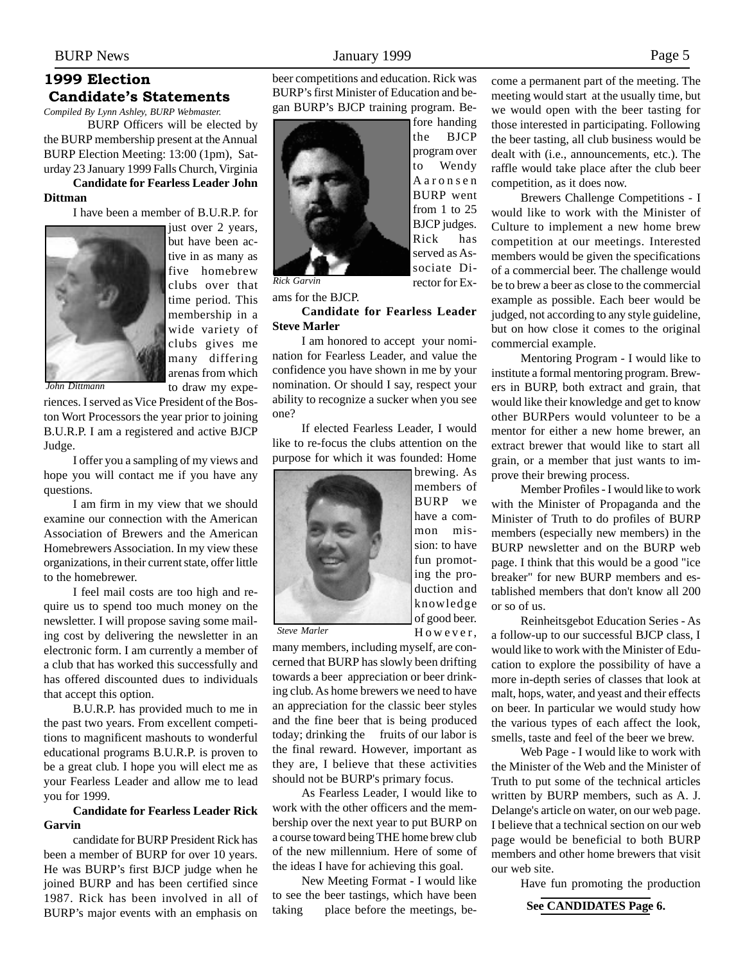# <span id="page-4-0"></span>1999 Election Candidate's Statements

*Compiled By Lynn Ashley, BURP Webmaster.*

BURP Officers will be elected by the BURP membership present at the Annual BURP Election Meeting: 13:00 (1pm), Saturday 23 January 1999 Falls Church, Virginia

## **Candidate for Fearless Leader John Dittman**

I have been a member of B.U.R.P. for



just over 2 years, but have been active in as many as five homebrew clubs over that time period. This membership in a wide variety of clubs gives me many differing arenas from which to draw my expe-

*John Dittmann*

riences. I served as Vice President of the Boston Wort Processors the year prior to joining B.U.R.P. I am a registered and active BJCP Judge.

I offer you a sampling of my views and hope you will contact me if you have any questions.

I am firm in my view that we should examine our connection with the American Association of Brewers and the American Homebrewers Association. In my view these organizations, in their current state, offer little to the homebrewer.

I feel mail costs are too high and require us to spend too much money on the newsletter. I will propose saving some mailing cost by delivering the newsletter in an electronic form. I am currently a member of a club that has worked this successfully and has offered discounted dues to individuals that accept this option.

B.U.R.P. has provided much to me in the past two years. From excellent competitions to magnificent mashouts to wonderful educational programs B.U.R.P. is proven to be a great club. I hope you will elect me as your Fearless Leader and allow me to lead you for 1999.

### **Candidate for Fearless Leader Rick Garvin**

candidate for BURP President Rick has been a member of BURP for over 10 years. He was BURP's first BJCP judge when he joined BURP and has been certified since 1987. Rick has been involved in all of BURP's major events with an emphasis on

beer competitions and education. Rick was BURP's first Minister of Education and began BURP's BJCP training program. Be-

> fore handing the BJCP program over to Wendy Aaronsen BURP went from 1 to 25 BJCP judges. Rick has served as Associate Director for Ex-



ams for the BJCP.

### **Candidate for Fearless Leader Steve Marler**

I am honored to accept your nomination for Fearless Leader, and value the confidence you have shown in me by your nomination. Or should I say, respect your ability to recognize a sucker when you see one?

If elected Fearless Leader, I would like to re-focus the clubs attention on the purpose for which it was founded: Home



brewing. As members of BURP we have a common mission: to have fun promoting the production and knowledge of good beer. However,

*Steve Marler*

many members, including myself, are concerned that BURP has slowly been drifting towards a beer appreciation or beer drinking club. As home brewers we need to have an appreciation for the classic beer styles and the fine beer that is being produced today; drinking the fruits of our labor is the final reward. However, important as they are, I believe that these activities should not be BURP's primary focus.

As Fearless Leader, I would like to work with the other officers and the membership over the next year to put BURP on a course toward being THE home brew club of the new millennium. Here of some of the ideas I have for achieving this goal.

New Meeting Format - I would like to see the beer tastings, which have been taking place before the meetings, become a permanent part of the meeting. The meeting would start at the usually time, but we would open with the beer tasting for those interested in participating. Following the beer tasting, all club business would be dealt with (i.e., announcements, etc.). The raffle would take place after the club beer competition, as it does now.

Brewers Challenge Competitions - I would like to work with the Minister of Culture to implement a new home brew competition at our meetings. Interested members would be given the specifications of a commercial beer. The challenge would be to brew a beer as close to the commercial example as possible. Each beer would be judged, not according to any style guideline, but on how close it comes to the original commercial example.

Mentoring Program - I would like to institute a formal mentoring program. Brewers in BURP, both extract and grain, that would like their knowledge and get to know other BURPers would volunteer to be a mentor for either a new home brewer, an extract brewer that would like to start all grain, or a member that just wants to improve their brewing process.

Member Profiles - I would like to work with the Minister of Propaganda and the Minister of Truth to do profiles of BURP members (especially new members) in the BURP newsletter and on the BURP web page. I think that this would be a good "ice breaker" for new BURP members and established members that don't know all 200 or so of us.

Reinheitsgebot Education Series - As a follow-up to our successful BJCP class, I would like to work with the Minister of Education to explore the possibility of have a more in-depth series of classes that look at malt, hops, water, and yeast and their effects on beer. In particular we would study how the various types of each affect the look, smells, taste and feel of the beer we brew.

Web Page - I would like to work with the Minister of the Web and the Minister of Truth to put some of the technical articles written by BURP members, such as A. J. Delange's article on water, on our web page. I believe that a technical section on our web page would be beneficial to both BURP members and other home brewers that visit our web site.

Have fun promoting the production

## **See CANDIDATES Page 6.**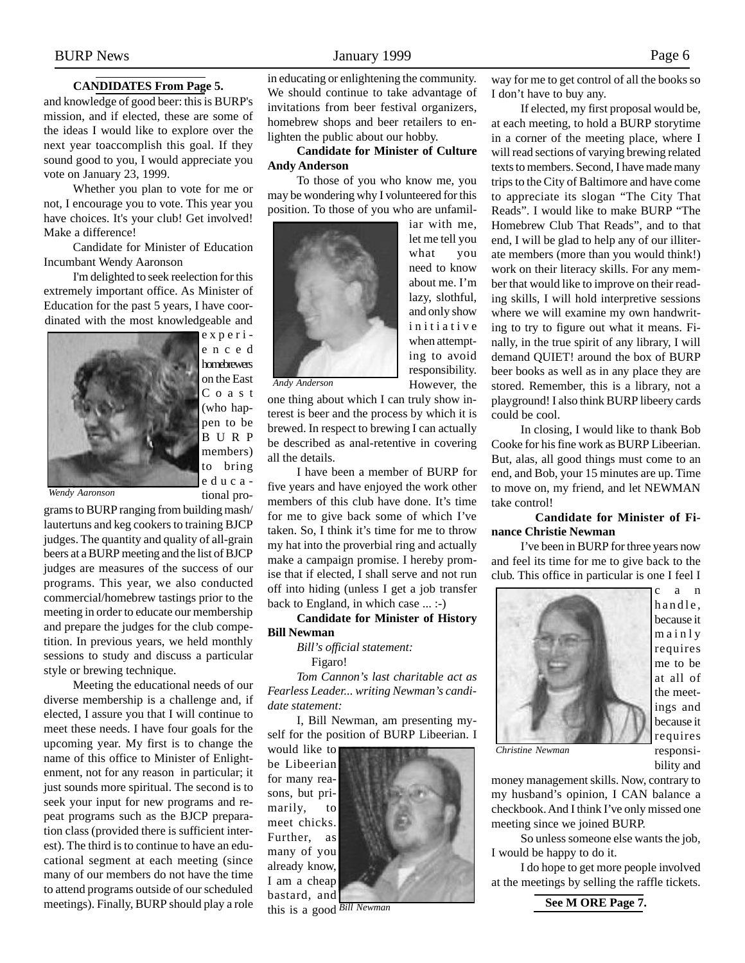### **CANDIDATES From Page 5.**

and knowledge of good beer: this is BURP's mission, and if elected, these are some of the ideas I would like to explore over the next year toaccomplish this goal. If they sound good to you, I would appreciate you vote on January 23, 1999.

Whether you plan to vote for me or not, I encourage you to vote. This year you have choices. It's your club! Get involved! Make a difference!

Candidate for Minister of Education Incumbant Wendy Aaronson

I'm delighted to seek reelection for this extremely important office. As Minister of Education for the past 5 years, I have coordinated with the most knowledgeable and



enced homebrewers on the East Coast (who happen to be BURP members) to bring educa-

tional pro-

*Wendy Aaronson*

grams to BURP ranging from building mash/ lautertuns and keg cookers to training BJCP judges. The quantity and quality of all-grain beers at a BURP meeting and the list of BJCP judges are measures of the success of our programs. This year, we also conducted commercial/homebrew tastings prior to the meeting in order to educate our membership and prepare the judges for the club competition. In previous years, we held monthly sessions to study and discuss a particular style or brewing technique.

Meeting the educational needs of our diverse membership is a challenge and, if elected, I assure you that I will continue to meet these needs. I have four goals for the upcoming year. My first is to change the name of this office to Minister of Enlightenment, not for any reason in particular; it just sounds more spiritual. The second is to seek your input for new programs and repeat programs such as the BJCP preparation class (provided there is sufficient interest). The third is to continue to have an educational segment at each meeting (since many of our members do not have the time to attend programs outside of our scheduled meetings). Finally, BURP should play a role

in educating or enlightening the community. We should continue to take advantage of invitations from beer festival organizers, homebrew shops and beer retailers to enlighten the public about our hobby.

### **Candidate for Minister of Culture Andy Anderson**

To those of you who know me, you may be wondering why I volunteered for this position. To those of you who are unfamil-



what you need to know about me. I'm lazy, slothful, and only show initiative when attempting to avoid responsibility. However, the

iar with me, let me tell you

*Andy Anderson*

one thing about which I can truly show interest is beer and the process by which it is brewed. In respect to brewing I can actually be described as anal-retentive in covering all the details.

I have been a member of BURP for five years and have enjoyed the work other members of this club have done. It's time for me to give back some of which I've taken. So, I think it's time for me to throw my hat into the proverbial ring and actually make a campaign promise. I hereby promise that if elected, I shall serve and not run off into hiding (unless I get a job transfer back to England, in which case ... :-)

#### **Candidate for Minister of History Bill Newman**

*Bill's official statement:* Figaro!

*Tom Cannon's last charitable act as Fearless Leader... writing Newman's candidate statement:*

I, Bill Newman, am presenting myself for the position of BURP Libeerian. I

would like to be Libeerian for many reasons, but primarily, to meet chicks. Further, as many of you already know, I am a cheap bastard, and



this is a good *Bill Newman*

way for me to get control of all the books so I don't have to buy any.

If elected, my first proposal would be, at each meeting, to hold a BURP storytime in a corner of the meeting place, where I will read sections of varying brewing related texts to members. Second, I have made many trips to the City of Baltimore and have come to appreciate its slogan "The City That Reads". I would like to make BURP "The Homebrew Club That Reads", and to that end, I will be glad to help any of our illiterate members (more than you would think!) work on their literacy skills. For any member that would like to improve on their reading skills, I will hold interpretive sessions where we will examine my own handwriting to try to figure out what it means. Finally, in the true spirit of any library, I will demand QUIET! around the box of BURP beer books as well as in any place they are stored. Remember, this is a library, not a playground! I also think BURP libeery cards could be cool.

In closing, I would like to thank Bob Cooke for his fine work as BURP Libeerian. But, alas, all good things must come to an end, and Bob, your 15 minutes are up. Time to move on, my friend, and let NEWMAN take control!

### **Candidate for Minister of Finance Christie Newman**

I've been in BURP for three years now and feel its time for me to give back to the club. This office in particular is one I feel I



*Christine Newman*

c a n handle, because it mainly requires me to be at all of the meetings and because it requires responsibility and

money management skills. Now, contrary to my husband's opinion, I CAN balance a checkbook. And I think I've only missed one meeting since we joined BURP.

So unless someone else wants the job, I would be happy to do it.

I do hope to get more people involved at the meetings by selling the raffle tickets.

**See M ORE Page 7.**